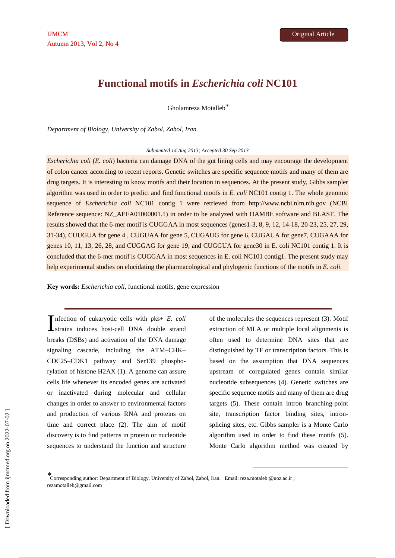Gholamreza Motalleb<sup>∗</sup>

*Department of Biology, University of Zabol, Zabol, Iran.* 

*Submmited 14 Aug 2013; Accepted 30 Sep 2013* 

*Escherichia coli* (*E. coli*) bacteria can damage DNA of the gut lining cells and may encourage the development of colon cancer according to recent reports. Genetic switches are specific sequence motifs and many of them are drug targets. It is interesting to know motifs and their location in sequences. At the present study, Gibbs sampler algorithm was used in order to predict and find functional motifs in *E. coli* NC101 contig 1. The whole genomic sequence of *Escherichia coli* NC101 contig 1 were retrieved from http://www.ncbi.nlm.nih.gov (NCBI Reference sequence: NZ\_AEFA01000001.1) in order to be analyzed with DAMBE software and BLAST. The results showed that the 6-mer motif is CUGGAA in most sequences (genes1-3, 8, 9, 12, 14-18, 20-23, 25, 27, 29, 31-34), CUUGUA for gene 4 , CUGUAA for gene 5, CUGAUG for gene 6, CUGAUA for gene7, CUGAAA for genes 10, 11, 13, 26, 28, and CUGGAG for gene 19, and CUGGUA for gene30 in E. coli NC101 contig 1. It is concluded that the 6-mer motif is CUGGAA in most sequences in E. coli NC101 contig1. The present study may help experimental studies on elucidating the pharmacological and phylogenic functions of the motifs in *E. coli*.

**Key words:** *Escherichia coli*, functional motifs, gene expression

nfection of eukaryotic cells with pks+ *E. coli*  $\sum$  infection of eukaryotic cells with pks+ E. colistication induces host-cell DNA double strand breaks (DSBs) and activation of the DNA damage signaling cascade, including the ATM–CHK– CDC25–CDK1 pathway and Ser139 phosphorylation of histone H2AX (1). A genome can assure cells life whenever its encoded genes are activated or inactivated during molecular and cellular changes in order to answer to environmental factors and production of various RNA and proteins on time and correct place (2). The aim of motif discovery is to find patterns in protein or nucleotide sequences to understand the function and structure

of the molecules the sequences represent (3). Motif extraction of MLA or multiple local alignments is often used to determine DNA sites that are distinguished by TF or transcription factors. This is based on the assumption that DNA sequences upstream of coregulated genes contain similar nucleotide subsequences (4). Genetic switches are specific sequence motifs and many of them are drug targets (5). These contain intron branching-point site, transcription factor binding sites, intronsplicing sites, etc. Gibbs sampler is a Monte Carlo algorithm used in order to find these motifs (5). Monte Carlo algorithm method was created by

-

∗ Corresponding author: Department of Biology, University of Zabol, Zabol, Iran. Email: reza.motaleb @uoz.ac.ir ; rezamotalleb@gmail.com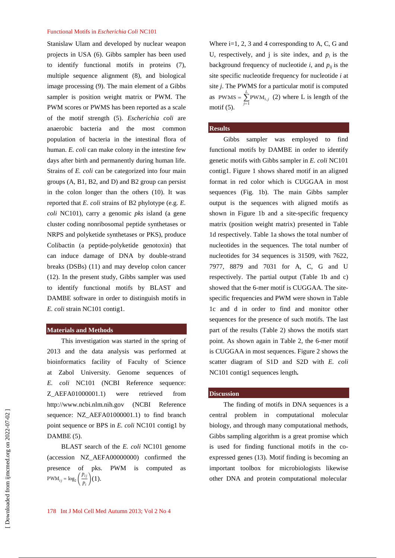Stanislaw Ulam and developed by nuclear weapon projects in USA (6). Gibbs sampler has been used to identify functional motifs in proteins (7), multiple sequence alignment (8), and biological image processing (9). The main element of a Gibbs sampler is position weight matrix or PWM. The PWM scores or PWMS has been reported as a scale of the motif strength (5). *Escherichia coli* are anaerobic bacteria and the most common population of bacteria in the intestinal flora of human. *E. coli* can make colony in the intestine few days after birth and permanently during human life. Strains of *E. coli* can be categorized into four main groups (A, B1, B2, and D) and B2 group can persist in the colon longer than the others (10). It was reported that *E. coli* strains of B2 phylotype (e.g. *E. coli* NC101), carry a genomic *pks* island (a gene cluster coding nonribosomal peptide synthetases or NRPS and polyketide synthetases or PKS), produce Colibactin (a peptide-polyketide genotoxin) that can induce damage of DNA by double-strand breaks (DSBs) (11) and may develop colon cancer (12). In the present study, Gibbs sampler was used to identify functional motifs by BLAST and DAMBE software in order to distinguish motifs in *E. coli* strain NC101 contig1.

### **Materials and Methods**

This investigation was started in the spring of 2013 and the data analysis was performed at bioinformatics facility of Faculty of Science at Zabol University. Genome sequences of *E. coli* NC101 (NCBI Reference sequence: Z\_AEFA01000001.1) were retrieved from http://www.ncbi.nlm.nih.gov (NCBI Reference sequence: NZ\_AEFA01000001.1) to find branch point sequence or BPS in *E. coli* NC101 contig1 by DAMBE (5).

BLAST search of the *E. coli* NC101 genome (accession NZ\_AEFA00000000) confirmed the presence of pks. PWM is computed as  $\text{PWM}_{ij} = \log_2\left(\frac{p_{ij}}{p_i}\right)(1).$ 

Where  $i=1, 2, 3$  and 4 corresponding to A, C, G and U, respectively, and *j* is site index, and  $p_i$  is the background frequency of nucleotide  $i$ , and  $p_{ij}$  is the site specific nucleotide frequency for nucleotide *i* at site *j*. The PWMS for a particular motif is computed as  $PWMS = \sum_{i=1}^{K} PWM_{i,j}$  (2) where L is length of the motif  $(5)$ .

# **Results**

Gibbs sampler was employed to find functional motifs by DAMBE in order to identify genetic motifs with Gibbs sampler in *E. coli* NC101 contig1. Figure 1 shows shared motif in an aligned format in red color which is CUGGAA in most sequences (Fig. 1b). The main Gibbs sampler output is the sequences with aligned motifs as shown in Figure 1b and a site-specific frequency matrix (position weight matrix) presented in Table 1d respectively. Table 1a shows the total number of nucleotides in the sequences. The total number of nucleotides for 34 sequences is 31509, with 7622, 7977, 8879 and 7031 for A, C, G and U respectively. The partial output (Table 1b and c) showed that the 6-mer motif is CUGGAA. The sitespecific frequencies and PWM were shown in Table 1c and d in order to find and monitor other sequences for the presence of such motifs. The last part of the results (Table 2) shows the motifs start point. As shown again in Table 2, the 6-mer motif is CUGGAA in most sequences. Figure 2 shows the scatter diagram of S1D and S2D with *E. coli* NC101 contig1 sequences length**.**

#### **Discussion**

The finding of motifs in DNA sequences is a central problem in computational molecular biology, and through many computational methods, Gibbs sampling algorithm is a great promise which is used for finding functional motifs in the coexpressed genes (13). Motif finding is becoming an important toolbox for microbiologists likewise other DNA and protein computational molecular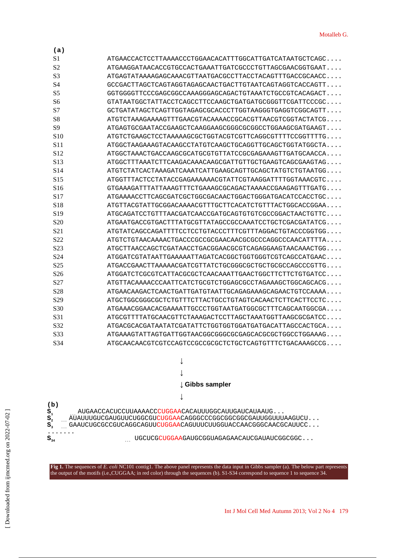| (a)              |                                                                        |
|------------------|------------------------------------------------------------------------|
| S1               | $\rm ATGAACCACTCCTTAAAACCCTGGAACACATTTGGCATTGATGATAATGCTCAGC \ldots$   |
| S <sub>2</sub>   | ATGAAGGATAACACCGTGCCACTGAAATTGATCGCCCTGTTAGCGAACGGTGAAT.               |
| S3               | ATGAGTATAAAAGAGCAAACGTTAATGACGCCTTACCTACAGTTTGACCGCAACC.               |
| S4               | GCCGACTTAGCTCAGTAGGTAGAGCAACTGACTTGTAATCAGTAGGTCACCAGTT.               |
| S5               | GGTGGGGTTCCCGAGCGGCCAAAGGGAGCAGACTGTAAATCTGCCGTCACAGACT                |
| S6               | GTATAATGGCTATTACCTCAGCCTTCCAAGCTGATGATGCGGGTTCGATTCCCGC.               |
| S7               | GCTGATATAGCTCAGTTGGTAGAGCGCACCCTTGGTAAGGGTGAGGTCGGCAGTT                |
| S <sub>8</sub>   | ATGTCTAAAGAAAAGTTTGAACGTACAAAACCGCACGTTAACGTCGGTACTATCG                |
| S9               | ATGAGTGCGAATACCGAAGCTCAAGGAAGCGGCGCCGCCCTGGAAGCGATGAAGT                |
| S10              | ATGTCTGAAGCTCCTAAAAAGCGCTGGTACGTCGTTCAGGCGTTTTCCGGTTTTG.               |
| S11              | ATGGCTAAGAAAGTACAAGCCTATGTCAAGCTGCAGGTTGCAGCTGGTATGGCTA.               |
| S <sub>12</sub>  | ATGGCTAAACTGACCAAGCGCATGCGTGTTATCCGCGAGAAAGTTGATGCAACCA.               |
| S <sub>13</sub>  | ATGGCTTTAAATCTTCAAGACAAACAAGCGATTGTTGCTGAAGTCAGCGAAGTAG                |
| S <sub>14</sub>  | ATGTCTATCACTAAAGATCAAATCATTGAAGCAGTTGCAGCTATGTCTGTAATGG.               |
| S15              | ATGGTTTACTCCTATACCGAGAAAAAACGTATTCGTAAGGATTTTGGTAAACGTC.               |
| S16              | GTGAAAGATTTATTAAAGTTTCTGAAAGCGCAGACTAAAACCGAAGAGTTTGATG.               |
| S17              |                                                                        |
| S18              | ATGTTACGTATTGCGGACAAAACGTTTGCTTCACATCTGTTTACTGGCACCGGAA.               |
| S19              | ATGCAGATCCTGTTTAACGATCAACCGATGCAGTGTGTCGCCGGACTAACTGTTC.               |
| S <sub>20</sub>  | $\rm ATGAATGACCGTGACTTTATGCGTTATAGCCGCCAAATCCTGCTCGACGATATCG. \ldots$  |
| S21              | ATGTATCAGCCAGATTTTCCTCCTGTACCCTTTCGTTTAGGACTGTACCCGGTGG                |
| S <sub>22</sub>  | ATGTCTGTAACAAAACTGACCGCCGCGAACAACGCGCCCAGGCCCAACATTTTA.                |
| S <sub>2</sub> 3 | ATGCTTAACCAGCTCGATAACCTGACGGAACGCGTCAGAGGAAGTAACAAACTGG                |
| S <sub>24</sub>  | ATGGATCGTATAATTGAAAAATTAGATCACGGCTGGTGGTCGTCAGCCATGAAC                 |
| S <sub>25</sub>  | ATGACCGAACTTAAAAACGATCGTTATCTGCGGGCGCTGCTGCCCAGCCCGTTG                 |
| S <sub>26</sub>  | ATGGATCTCGCGTCATTACGCGCTCAACAAATTGAACTGGCTTCTTCTGTGATCC.               |
| S <sub>27</sub>  | ATGTTACAAAACCCAATTCATCTGCGTCTGGAGCGCCTAGAAAGCTGGCAGCACG.               |
| S28              | ATGAACAAGACTCAACTGATTGATGTAATTGCAGAGAAAGCAGAACTGTCCAAAA                |
| S29              | ATGCTGGCGGCGCTCTGTTTCTTACTGCCTGTAGTCACAACTCTTCACTTCCTC.                |
| S <sub>30</sub>  | ATGAAACGGAACACGAAAATTGCCCTGGTAATGATGCCCCTTTCAGCAATGGCGA.               |
| S31              | ATGCGTTTTATGCAACGTTCTAAAGACTCCTTAGCTAAATGGTTAAGCGCGATCC.               |
| S32              | ATGACGCACGATAATATCGATATTCTGGTGGTGGATGATGACATTAGCCACTGCA.               |
| S33              | ATGAAAGTATTAGTGATTGGTAACGGCGGCGCGAGCACGCGCTGGCCTGGAAAG.                |
| S34              | ${\tt ATGCAACAACGTCGTCCAGTCCGCCGCGCTCTGCTCAGTGTTTCTGACAAAGCCG. \dots}$ |
|                  |                                                                        |





**Fig 1.** The sequences of *E. coli* NC101 contig1. The above panel represents the data input in Gibbs sampler (a). The below part represents the output of the motifs (i.e.,CUGGAA; in red color) through the sequences (b). S1-S34 correspond to sequence 1 to sequence 34.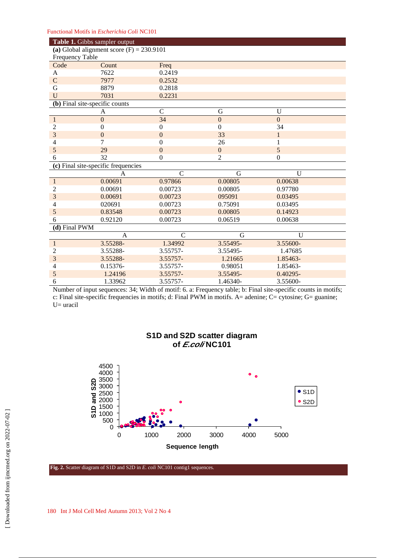| Table 1. Gibbs sampler output               |                                     |                  |                  |                  |  |  |  |  |
|---------------------------------------------|-------------------------------------|------------------|------------------|------------------|--|--|--|--|
| (a) Global alignment score $(F) = 230.9101$ |                                     |                  |                  |                  |  |  |  |  |
| Frequency Table                             |                                     |                  |                  |                  |  |  |  |  |
| Code                                        | Count                               | Freq             |                  |                  |  |  |  |  |
| A                                           | 7622                                | 0.2419           |                  |                  |  |  |  |  |
| $\mathsf{C}$                                | 7977                                | 0.2532           |                  |                  |  |  |  |  |
| G                                           | 8879                                | 0.2818           |                  |                  |  |  |  |  |
| $\overline{U}$                              | 7031                                | 0.2231           |                  |                  |  |  |  |  |
| (b) Final site-specific counts              |                                     |                  |                  |                  |  |  |  |  |
|                                             | A                                   | $\overline{C}$   | $\mathbf G$      | U                |  |  |  |  |
| $\mathbf{1}$                                | $\overline{0}$                      | 34               | $\overline{0}$   | $\overline{0}$   |  |  |  |  |
| $\overline{c}$                              | $\boldsymbol{0}$                    | $\mathbf{0}$     | $\boldsymbol{0}$ | 34               |  |  |  |  |
| 3                                           | $\mathbf{0}$                        | $\boldsymbol{0}$ | 33               | $\mathbf{1}$     |  |  |  |  |
| $\overline{\mathcal{L}}$                    | 7                                   | $\boldsymbol{0}$ | 26               | 1                |  |  |  |  |
| 5                                           | 29                                  | $\overline{0}$   | $\overline{0}$   | 5                |  |  |  |  |
| 6                                           | 32                                  | $\boldsymbol{0}$ | $\overline{2}$   | $\boldsymbol{0}$ |  |  |  |  |
|                                             | (c) Final site-specific frequencies |                  |                  |                  |  |  |  |  |
|                                             | A                                   | $\mathsf{C}$     | G                | U                |  |  |  |  |
| $\mathbf{1}$                                | 0.00691                             | 0.97866          | 0.00805          | 0.00638          |  |  |  |  |
| $\overline{c}$                              | 0.00691                             | 0.00723          | 0.00805          | 0.97780          |  |  |  |  |
| 3                                           | 0.00691                             | 0.00723          | 095091           | 0.03495          |  |  |  |  |
| 4                                           | 020691                              | 0.00723          | 0.75091          | 0.03495          |  |  |  |  |
| 5                                           | 0.83548                             | 0.00723          | 0.00805          | 0.14923          |  |  |  |  |
| 6                                           | 0.92120                             | 0.00723          | 0.06519          | 0.00638          |  |  |  |  |
| (d) Final PWM                               |                                     |                  |                  |                  |  |  |  |  |
|                                             | A                                   | $\mathsf{C}$     | G                | $\overline{U}$   |  |  |  |  |
| $\mathbf{1}$                                | 3.55288-                            | 1.34992          | 3.55495-         | 3.55600-         |  |  |  |  |
| $\overline{c}$                              | 3.55288-                            | 3.55757-         | 3.55495-         | 1.47685          |  |  |  |  |
| 3                                           | 3.55288-                            | 3.55757-         | 1.21665          | 1.85463-         |  |  |  |  |
| 4                                           | 0.15376-                            | 3.55757-         | 0.98051          | 1.85463-         |  |  |  |  |
| 5                                           | 1.24196                             | 3.55757-         | 3.55495-         | 0.40295-         |  |  |  |  |
| 6                                           | 1.33962                             | 3.55757-         | 1.46340-         | 3.55600-         |  |  |  |  |

Number of input sequences: 34; Width of motif: 6. a: Frequency table; b: Final site-specific counts in motifs; c: Final site-specific frequencies in motifs; d: Final PWM in motifs. A= adenine; C= cytosine; G= guanine; U= uracil



**S1D and S2D scatter diagram of E.coli NC101** 

**Fig. 2.** Scatter diagram of S1D and S2D in *E. coli* NC101 contig1 sequences.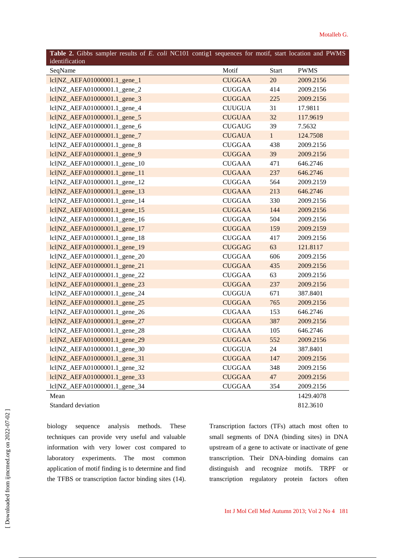| Table 2. Gibbs sampler results of E. coli NC101 contig1 sequences for motif, start location and PWMS<br>identification |               |              |             |
|------------------------------------------------------------------------------------------------------------------------|---------------|--------------|-------------|
| SeqName                                                                                                                | Motif         | <b>Start</b> | <b>PWMS</b> |
| lcl NZ_AEFA01000001.1_gene_1                                                                                           | <b>CUGGAA</b> | 20           | 2009.2156   |
| lcl NZ_AEFA01000001.1_gene_2                                                                                           | <b>CUGGAA</b> | 414          | 2009.2156   |
| lcl NZ_AEFA01000001.1_gene_3                                                                                           | <b>CUGGAA</b> | 225          | 2009.2156   |
| lcl NZ_AEFA01000001.1_gene_4                                                                                           | <b>CUUGUA</b> | 31           | 17.9811     |
| lcl NZ_AEFA01000001.1_gene_5                                                                                           | <b>CUGUAA</b> | 32           | 117.9619    |
| lcl NZ_AEFA01000001.1_gene_6                                                                                           | <b>CUGAUG</b> | 39           | 7.5632      |
| lcl NZ_AEFA01000001.1_gene_7                                                                                           | <b>CUGAUA</b> | 1            | 124.7508    |
| $ c  NZ$ AEFA01000001.1 gene 8                                                                                         | <b>CUGGAA</b> | 438          | 2009.2156   |
| lcl NZ_AEFA01000001.1_gene_9                                                                                           | <b>CUGGAA</b> | 39           | 2009.2156   |
| lcl NZ_AEFA01000001.1_gene_10                                                                                          | <b>CUGAAA</b> | 471          | 646.2746    |
| lcl NZ_AEFA01000001.1_gene_11                                                                                          | <b>CUGAAA</b> | 237          | 646.2746    |
| lcl NZ_AEFA01000001.1_gene_12                                                                                          | <b>CUGGAA</b> | 564          | 2009.2159   |
| lcl NZ_AEFA01000001.1_gene_13                                                                                          | <b>CUGAAA</b> | 213          | 646.2746    |
| lcl NZ AEFA01000001.1 gene 14                                                                                          | <b>CUGGAA</b> | 330          | 2009.2156   |
| lcl NZ_AEFA01000001.1_gene_15                                                                                          | <b>CUGGAA</b> | 144          | 2009.2156   |
| lcl NZ_AEFA01000001.1_gene_16                                                                                          | <b>CUGGAA</b> | 504          | 2009.2156   |
| lcl NZ AEFA01000001.1 gene 17                                                                                          | <b>CUGGAA</b> | 159          | 2009.2159   |
| lcl NZ_AEFA01000001.1_gene_18                                                                                          | <b>CUGGAA</b> | 417          | 2009.2156   |
| lcl NZ_AEFA01000001.1_gene_19                                                                                          | <b>CUGGAG</b> | 63           | 121.8117    |
| lcl NZ_AEFA01000001.1_gene_20                                                                                          | <b>CUGGAA</b> | 606          | 2009.2156   |
| lcl NZ_AEFA01000001.1_gene_21                                                                                          | <b>CUGGAA</b> | 435          | 2009.2156   |
| lcl NZ_AEFA01000001.1_gene_22                                                                                          | <b>CUGGAA</b> | 63           | 2009.2156   |
| lcl NZ_AEFA01000001.1_gene_23                                                                                          | <b>CUGGAA</b> | 237          | 2009.2156   |
| lcl NZ_AEFA01000001.1_gene_24                                                                                          | <b>CUGGUA</b> | 671          | 387.8401    |
| lcl NZ_AEFA01000001.1_gene_25                                                                                          | <b>CUGGAA</b> | 765          | 2009.2156   |
| lcl NZ_AEFA01000001.1_gene_26                                                                                          | <b>CUGAAA</b> | 153          | 646.2746    |
| lcl NZ_AEFA01000001.1_gene_27                                                                                          | <b>CUGGAA</b> | 387          | 2009.2156   |
| lcl NZ AEFA01000001.1 gene 28                                                                                          | <b>CUGAAA</b> | 105          | 646.2746    |
| lcl NZ_AEFA01000001.1_gene_29                                                                                          | <b>CUGGAA</b> | 552          | 2009.2156   |
| lcl NZ_AEFA01000001.1_gene_30                                                                                          | <b>CUGGUA</b> | 24           | 387.8401    |
| lcl NZ_AEFA01000001.1_gene_31                                                                                          | <b>CUGGAA</b> | 147          | 2009.2156   |
| lcl NZ_AEFA01000001.1_gene_32                                                                                          | <b>CUGGAA</b> | 348          | 2009.2156   |
| lcl NZ_AEFA01000001.1_gene_33                                                                                          | <b>CUGGAA</b> | 47           | 2009.2156   |
| lcl NZ_AEFA01000001.1_gene_34                                                                                          | <b>CUGGAA</b> | 354          | 2009.2156   |
| Mean                                                                                                                   |               |              | 1429.4078   |

Standard deviation

biology sequence analysis methods. These techniques can provide very useful and valuable information with very lower cost compared to laboratory experiments. The most common application of motif finding is to determine and find the TFBS or transcription factor binding sites (14).

Transcription factors (TFs) attach most often to small segments of DNA (binding sites) in DNA upstream of a gene to activate or inactivate of gene transcription. Their DNA-binding domains can distinguish and recognize motifs. TRPF or transcription regulatory protein factors often

812.3610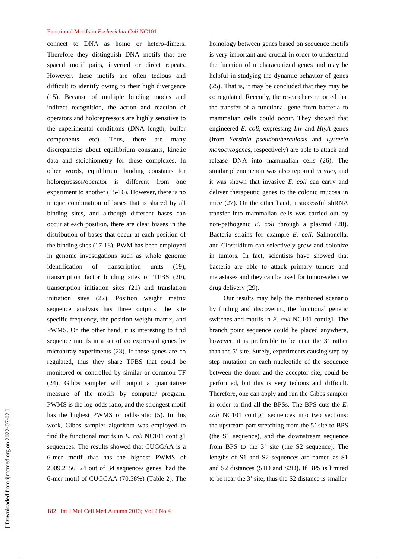connect to DNA as homo or hetero-dimers. Therefore they distinguish DNA motifs that are spaced motif pairs, inverted or direct repeats. However, these motifs are often tedious and difficult to identify owing to their high divergence (15). Because of multiple binding modes and indirect recognition, the action and reaction of operators and holorepressors are highly sensitive to the experimental conditions (DNA length, buffer components, etc). Thus, there are many discrepancies about equilibrium constants, kinetic data and stoichiometry for these complexes. In other words, equilibrium binding constants for holorepressor/operator is different from one experiment to another (15-16). However, there is no unique combination of bases that is shared by all binding sites, and although different bases can occur at each position, there are clear biases in the distribution of bases that occur at each position of the binding sites (17-18). PWM has been employed in genome investigations such as whole genome identification of transcription units (19), transcription factor binding sites or TFBS (20), transcription initiation sites (21) and translation initiation sites (22). Position weight matrix sequence analysis has three outputs: the site specific frequency, the position weight matrix, and PWMS. On the other hand, it is interesting to find sequence motifs in a set of co expressed genes by microarray experiments (23). If these genes are co regulated, thus they share TFBS that could be monitored or controlled by similar or common TF (24). Gibbs sampler will output a quantitative measure of the motifs by computer program. PWMS is the log-odds ratio, and the strongest motif has the highest PWMS or odds-ratio (5). In this work, Gibbs sampler algorithm was employed to find the functional motifs in *E. coli* NC101 contig1 sequences. The results showed that CUGGAA is a 6-mer motif that has the highest PWMS of 2009.2156. 24 out of 34 sequences genes, had the 6-mer motif of CUGGAA (70.58%) (Table 2). The homology between genes based on sequence motifs is very important and crucial in order to understand the function of uncharacterized genes and may be helpful in studying the dynamic behavior of genes (25). That is, it may be concluded that they may be co regulated. Recently, the researchers reported that the transfer of a functional gene from bacteria to mammalian cells could occur. They showed that engineered *E. coli*, expressing *Inv* and *HlyA* genes (from *Yersinia pseudotuberculosis* and *Lysteria monocytogenes*, respectively) are able to attack and release DNA into mammalian cells (26). The similar phenomenon was also reported *in vivo*, and it was shown that invasive *E. coli* can carry and deliver therapeutic genes to the colonic mucosa in mice (27). On the other hand, a successful shRNA transfer into mammalian cells was carried out by non-pathogenic *E. coli* through a plasmid (28). Bacteria strains for example *E. coli*, Salmonella, and Clostridium can selectively grow and colonize in tumors. In fact, scientists have showed that bacteria are able to attack primary tumors and metastases and they can be used for tumor-selective drug delivery (29).

Our results may help the mentioned scenario by finding and discovering the functional genetic switches and motifs in *E. coli* NC101 contig1. The branch point sequence could be placed anywhere, however, it is preferable to be near the 3' rather than the 5' site. Surely, experiments causing step by step mutation on each nucleotide of the sequence between the donor and the acceptor site, could be performed, but this is very tedious and difficult. Therefore, one can apply and run the Gibbs sampler in order to find all the BPSs. The BPS cuts the *E. coli* NC101 contig1 sequences into two sections: the upstream part stretching from the 5' site to BPS (the S1 sequence), and the downstream sequence from BPS to the 3' site (the S2 sequence). The lengths of S1 and S2 sequences are named as S1 and S2 distances (S1D and S2D). If BPS is limited to be near the 3' site, thus the S2 distance is smaller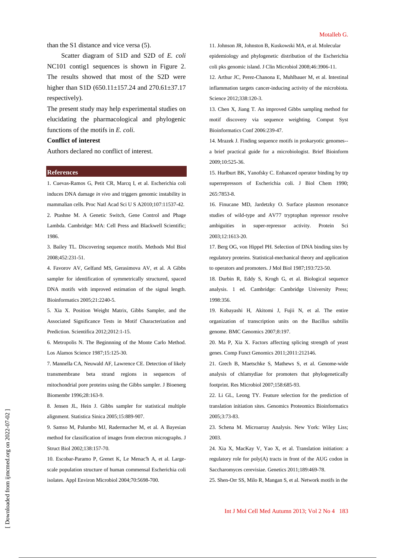than the S1 distance and vice versa (5).

Scatter diagram of S1D and S2D of *E. coli* NC101 contig1 sequences is shown in Figure 2. The results showed that most of the S2D were higher than S1D (650.11±157.24 and 270.61±37.17 respectively).

The present study may help experimental studies on elucidating the pharmacological and phylogenic functions of the motifs in *E. coli*.

# **Conflict of interest**

Authors declared no conflict of interest.

## **References**

1. Cuevas-Ramos G, Petit CR, Marcq I, et al. Escherichia coli induces DNA damage *in vivo* and triggers genomic instability in mammalian cells. Proc Natl Acad Sci U S A2010;107:11537-42.

2. Ptashne M. A Genetic Switch, Gene Control and Phage Lambda. Cambridge: MA: Cell Press and Blackwell Scientific; 1986.

3. Bailey TL. Discovering sequence motifs. Methods Mol Biol 2008;452:231-51.

4. Favorov AV, Gelfand MS, Gerasimova AV, et al. A Gibbs sampler for identification of symmetrically structured, spaced DNA motifs with improved estimation of the signal length. Bioinformatics 2005;21:2240-5.

5. Xia X. Position Weight Matrix, Gibbs Sampler, and the Associated Significance Tests in Motif Characterization and Prediction. Scientifica 2012;2012:1-15.

6. Metropolis N. The Beginnning of the Monte Carlo Method. Los Alamos Science 1987;15:125-30.

7. Mannella CA, Neuwald AF, Lawrence CE. Detection of likely transmembrane beta strand regions in sequences of mitochondrial pore proteins using the Gibbs sampler. J Bioenerg Biomembr 1996;28:163-9.

8. Jensen JL, Hein J. Gibbs sampler for statistical multiple alignment. Statistica Sinica 2005;15:889-907.

9. Samso M, Palumbo MJ, Radermacher M, et al. A Bayesian method for classification of images from electron micrographs. J Struct Biol 2002;138:157-70.

10. Escobar-Paramo P, Grenet K, Le Menac'h A, et al. Largescale population structure of human commensal Escherichia coli isolates. Appl Environ Microbiol 2004;70:5698-700.

11. Johnson JR, Johnston B, Kuskowski MA, et al. Molecular epidemiology and phylogenetic distribution of the Escherichia coli pks genomic island. J Clin Microbiol 2008;46:3906-11.

12. Arthur JC, Perez-Chanona E, Muhlbauer M, et al. Intestinal inflammation targets cancer-inducing activity of the microbiota. Science 2012;338:120-3.

13. Chen X, Jiang T. An improved Gibbs sampling method for motif discovery via sequence weighting. Comput Syst Bioinformatics Conf 2006:239-47.

14. Mrazek J. Finding sequence motifs in prokaryotic genomes- a brief practical guide for a microbiologist. Brief Bioinform 2009;10:525-36.

15. Hurlburt BK, Yanofsky C. Enhanced operator binding by trp superrepressors of Escherichia coli. J Biol Chem 1990; 265:7853-8.

16. Finucane MD, Jardetzky O. Surface plasmon resonance studies of wild-type and AV77 tryptophan repressor resolve ambiguities in super-repressor activity. Protein Sci 2003;12:1613-20.

17. Berg OG, von Hippel PH. Selection of DNA binding sites by regulatory proteins. Statistical-mechanical theory and application to operators and promoters. J Mol Biol 1987;193:723-50.

18. Durbin R, Eddy S, Krogh G, et al. Biological sequence analysis. 1 ed. Cambridge: Cambridge University Press; 1998:356.

19. Kobayashi H, Akitomi J, Fujii N, et al. The entire organization of transcription units on the Bacillus subtilis genome. BMC Genomics 2007;8:197.

20. Ma P, Xia X. Factors affecting splicing strength of yeast genes. Comp Funct Genomics 2011;2011:212146.

21. Grech B, Maetschke S, Mathews S, et al. Genome-wide analysis of chlamydiae for promoters that phylogenetically footprint. Res Microbiol 2007;158:685-93.

22. Li GL, Leong TY. Feature selection for the prediction of translation initiation sites. Genomics Proteomics Bioinformatics 2005;3:73-83.

23. Schena M. Microarray Analysis. New York: Wiley Liss; 2003.

24. Xia X, MacKay V, Yao X, et al. Translation initiation: a regulatory role for poly(A) tracts in front of the AUG codon in Saccharomyces cerevisiae. Genetics 2011;189:469-78.

25. Shen-Orr SS, Milo R, Mangan S, et al. Network motifs in the